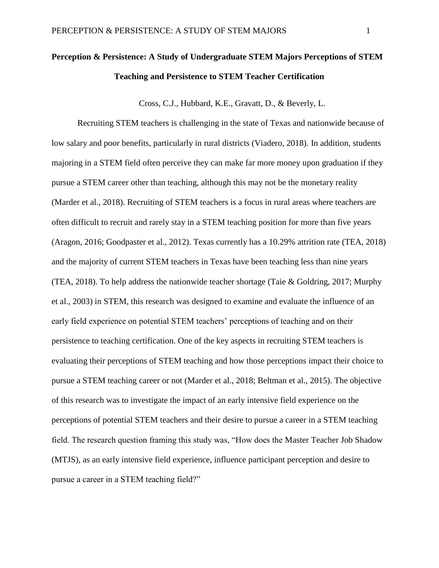# **Perception & Persistence: A Study of Undergraduate STEM Majors Perceptions of STEM Teaching and Persistence to STEM Teacher Certification**

Cross, C.J., Hubbard, K.E., Gravatt, D., & Beverly, L.

Recruiting STEM teachers is challenging in the state of Texas and nationwide because of low salary and poor benefits, particularly in rural districts (Viadero, 2018). In addition, students majoring in a STEM field often perceive they can make far more money upon graduation if they pursue a STEM career other than teaching, although this may not be the monetary reality (Marder et al., 2018). Recruiting of STEM teachers is a focus in rural areas where teachers are often difficult to recruit and rarely stay in a STEM teaching position for more than five years (Aragon, 2016; Goodpaster et al., 2012). Texas currently has a 10.29% attrition rate (TEA, 2018) and the majority of current STEM teachers in Texas have been teaching less than nine years (TEA, 2018). To help address the nationwide teacher shortage (Taie & Goldring, 2017; Murphy et al., 2003) in STEM, this research was designed to examine and evaluate the influence of an early field experience on potential STEM teachers' perceptions of teaching and on their persistence to teaching certification. One of the key aspects in recruiting STEM teachers is evaluating their perceptions of STEM teaching and how those perceptions impact their choice to pursue a STEM teaching career or not (Marder et al., 2018; Beltman et al., 2015). The objective of this research was to investigate the impact of an early intensive field experience on the perceptions of potential STEM teachers and their desire to pursue a career in a STEM teaching field. The research question framing this study was, "How does the Master Teacher Job Shadow (MTJS), as an early intensive field experience, influence participant perception and desire to pursue a career in a STEM teaching field?"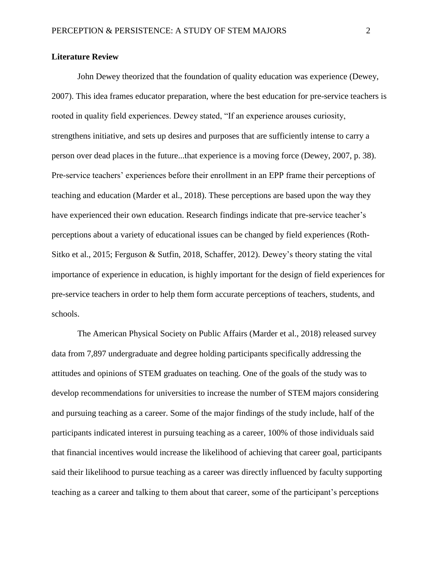## **Literature Review**

John Dewey theorized that the foundation of quality education was experience (Dewey, 2007). This idea frames educator preparation, where the best education for pre-service teachers is rooted in quality field experiences. Dewey stated, "If an experience arouses curiosity, strengthens initiative, and sets up desires and purposes that are sufficiently intense to carry a person over dead places in the future...that experience is a moving force (Dewey, 2007, p. 38). Pre-service teachers' experiences before their enrollment in an EPP frame their perceptions of teaching and education (Marder et al., 2018). These perceptions are based upon the way they have experienced their own education. Research findings indicate that pre-service teacher's perceptions about a variety of educational issues can be changed by field experiences (Roth-Sitko et al., 2015; Ferguson & Sutfin, 2018, Schaffer, 2012). Dewey's theory stating the vital importance of experience in education, is highly important for the design of field experiences for pre-service teachers in order to help them form accurate perceptions of teachers, students, and schools.

The American Physical Society on Public Affairs (Marder et al., 2018) released survey data from 7,897 undergraduate and degree holding participants specifically addressing the attitudes and opinions of STEM graduates on teaching. One of the goals of the study was to develop recommendations for universities to increase the number of STEM majors considering and pursuing teaching as a career. Some of the major findings of the study include, half of the participants indicated interest in pursuing teaching as a career, 100% of those individuals said that financial incentives would increase the likelihood of achieving that career goal, participants said their likelihood to pursue teaching as a career was directly influenced by faculty supporting teaching as a career and talking to them about that career, some of the participant's perceptions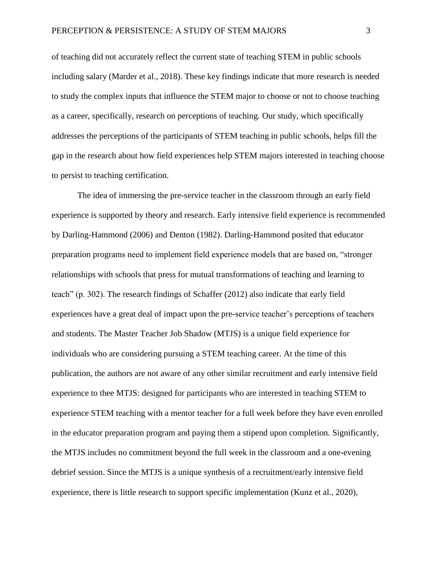of teaching did not accurately reflect the current state of teaching STEM in public schools including salary (Marder et al., 2018). These key findings indicate that more research is needed to study the complex inputs that influence the STEM major to choose or not to choose teaching as a career, specifically, research on perceptions of teaching. Our study, which specifically addresses the perceptions of the participants of STEM teaching in public schools, helps fill the gap in the research about how field experiences help STEM majors interested in teaching choose to persist to teaching certification.

The idea of immersing the pre-service teacher in the classroom through an early field experience is supported by theory and research. Early intensive field experience is recommended by Darling-Hammond (2006) and Denton (1982). Darling-Hammond posited that educator preparation programs need to implement field experience models that are based on, "stronger relationships with schools that press for mutual transformations of teaching and learning to teach" (p. 302). The research findings of Schaffer (2012) also indicate that early field experiences have a great deal of impact upon the pre-service teacher's perceptions of teachers and students. The Master Teacher Job Shadow (MTJS) is a unique field experience for individuals who are considering pursuing a STEM teaching career. At the time of this publication, the authors are not aware of any other similar recruitment and early intensive field experience to thee MTJS: designed for participants who are interested in teaching STEM to experience STEM teaching with a mentor teacher for a full week before they have even enrolled in the educator preparation program and paying them a stipend upon completion. Significantly, the MTJS includes no commitment beyond the full week in the classroom and a one-evening debrief session. Since the MTJS is a unique synthesis of a recruitment/early intensive field experience, there is little research to support specific implementation (Kunz et al., 2020),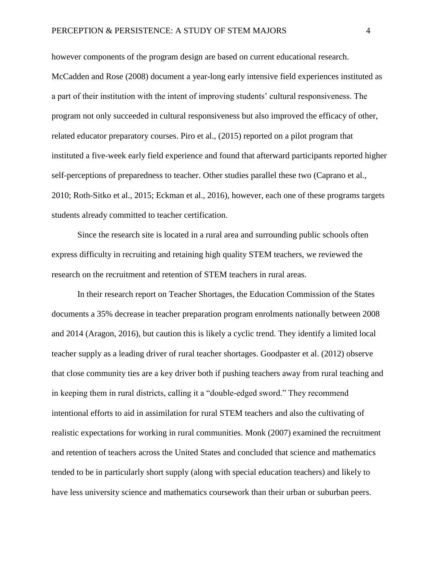however components of the program design are based on current educational research. McCadden and Rose (2008) document a year-long early intensive field experiences instituted as a part of their institution with the intent of improving students' cultural responsiveness. The program not only succeeded in cultural responsiveness but also improved the efficacy of other, related educator preparatory courses. Piro et al., (2015) reported on a pilot program that instituted a five-week early field experience and found that afterward participants reported higher self-perceptions of preparedness to teacher. Other studies parallel these two (Caprano et al., 2010; Roth-Sitko et al., 2015; Eckman et al., 2016), however, each one of these programs targets students already committed to teacher certification.

Since the research site is located in a rural area and surrounding public schools often express difficulty in recruiting and retaining high quality STEM teachers, we reviewed the research on the recruitment and retention of STEM teachers in rural areas.

In their research report on Teacher Shortages, the Education Commission of the States documents a 35% decrease in teacher preparation program enrolments nationally between 2008 and 2014 (Aragon, 2016), but caution this is likely a cyclic trend. They identify a limited local teacher supply as a leading driver of rural teacher shortages. Goodpaster et al. (2012) observe that close community ties are a key driver both if pushing teachers away from rural teaching and in keeping them in rural districts, calling it a "double-edged sword." They recommend intentional efforts to aid in assimilation for rural STEM teachers and also the cultivating of realistic expectations for working in rural communities. Monk (2007) examined the recruitment and retention of teachers across the United States and concluded that science and mathematics tended to be in particularly short supply (along with special education teachers) and likely to have less university science and mathematics coursework than their urban or suburban peers.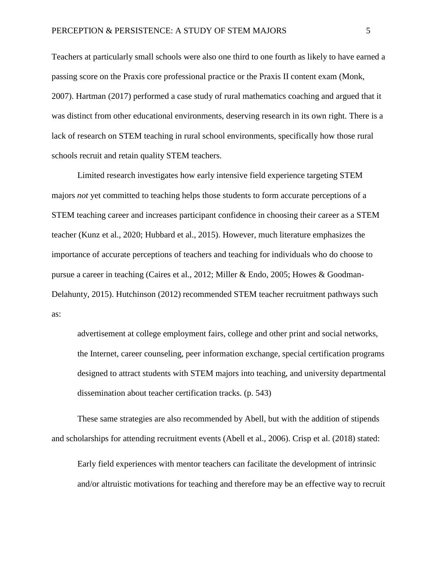Teachers at particularly small schools were also one third to one fourth as likely to have earned a passing score on the Praxis core professional practice or the Praxis II content exam (Monk, 2007). Hartman (2017) performed a case study of rural mathematics coaching and argued that it was distinct from other educational environments, deserving research in its own right. There is a lack of research on STEM teaching in rural school environments, specifically how those rural schools recruit and retain quality STEM teachers.

Limited research investigates how early intensive field experience targeting STEM majors *not* yet committed to teaching helps those students to form accurate perceptions of a STEM teaching career and increases participant confidence in choosing their career as a STEM teacher (Kunz et al., 2020; Hubbard et al., 2015). However, much literature emphasizes the importance of accurate perceptions of teachers and teaching for individuals who do choose to pursue a career in teaching (Caires et al., 2012; Miller & Endo, 2005; Howes & Goodman-Delahunty, 2015). Hutchinson (2012) recommended STEM teacher recruitment pathways such as:

advertisement at college employment fairs, college and other print and social networks, the Internet, career counseling, peer information exchange, special certification programs designed to attract students with STEM majors into teaching, and university departmental dissemination about teacher certification tracks. (p. 543)

These same strategies are also recommended by Abell, but with the addition of stipends and scholarships for attending recruitment events (Abell et al., 2006). Crisp et al. (2018) stated:

Early field experiences with mentor teachers can facilitate the development of intrinsic and/or altruistic motivations for teaching and therefore may be an effective way to recruit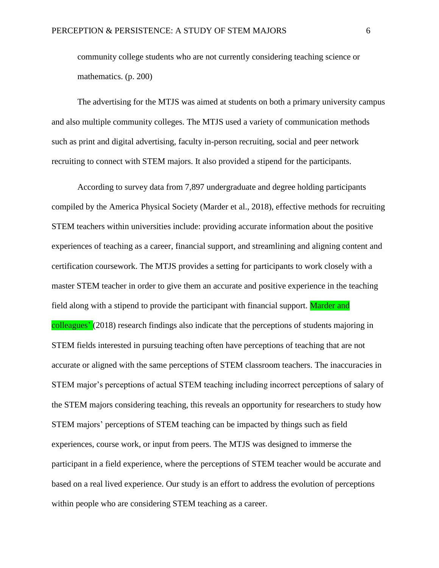community college students who are not currently considering teaching science or mathematics. (p. 200)

The advertising for the MTJS was aimed at students on both a primary university campus and also multiple community colleges. The MTJS used a variety of communication methods such as print and digital advertising, faculty in-person recruiting, social and peer network recruiting to connect with STEM majors. It also provided a stipend for the participants.

According to survey data from 7,897 undergraduate and degree holding participants compiled by the America Physical Society (Marder et al., 2018), effective methods for recruiting STEM teachers within universities include: providing accurate information about the positive experiences of teaching as a career, financial support, and streamlining and aligning content and certification coursework. The MTJS provides a setting for participants to work closely with a master STEM teacher in order to give them an accurate and positive experience in the teaching field along with a stipend to provide the participant with financial support. Marder and colleagues' (2018) research findings also indicate that the perceptions of students majoring in STEM fields interested in pursuing teaching often have perceptions of teaching that are not accurate or aligned with the same perceptions of STEM classroom teachers. The inaccuracies in STEM major's perceptions of actual STEM teaching including incorrect perceptions of salary of the STEM majors considering teaching, this reveals an opportunity for researchers to study how STEM majors' perceptions of STEM teaching can be impacted by things such as field experiences, course work, or input from peers. The MTJS was designed to immerse the participant in a field experience, where the perceptions of STEM teacher would be accurate and based on a real lived experience. Our study is an effort to address the evolution of perceptions within people who are considering STEM teaching as a career.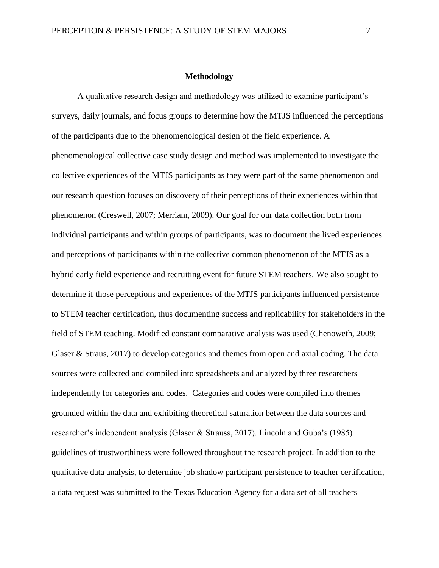#### **Methodology**

A qualitative research design and methodology was utilized to examine participant's surveys, daily journals, and focus groups to determine how the MTJS influenced the perceptions of the participants due to the phenomenological design of the field experience. A phenomenological collective case study design and method was implemented to investigate the collective experiences of the MTJS participants as they were part of the same phenomenon and our research question focuses on discovery of their perceptions of their experiences within that phenomenon (Creswell, 2007; Merriam, 2009). Our goal for our data collection both from individual participants and within groups of participants, was to document the lived experiences and perceptions of participants within the collective common phenomenon of the MTJS as a hybrid early field experience and recruiting event for future STEM teachers. We also sought to determine if those perceptions and experiences of the MTJS participants influenced persistence to STEM teacher certification, thus documenting success and replicability for stakeholders in the field of STEM teaching. Modified constant comparative analysis was used (Chenoweth, 2009; Glaser & Straus, 2017) to develop categories and themes from open and axial coding. The data sources were collected and compiled into spreadsheets and analyzed by three researchers independently for categories and codes. Categories and codes were compiled into themes grounded within the data and exhibiting theoretical saturation between the data sources and researcher's independent analysis (Glaser & Strauss, 2017). Lincoln and Guba's (1985) guidelines of trustworthiness were followed throughout the research project. In addition to the qualitative data analysis, to determine job shadow participant persistence to teacher certification, a data request was submitted to the Texas Education Agency for a data set of all teachers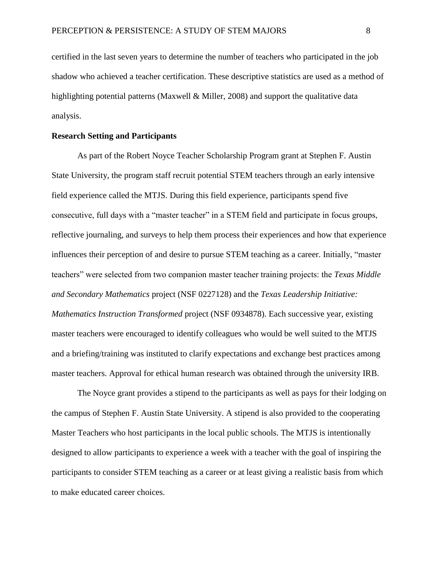certified in the last seven years to determine the number of teachers who participated in the job shadow who achieved a teacher certification. These descriptive statistics are used as a method of highlighting potential patterns (Maxwell & Miller, 2008) and support the qualitative data analysis.

## **Research Setting and Participants**

As part of the Robert Noyce Teacher Scholarship Program grant at Stephen F. Austin State University, the program staff recruit potential STEM teachers through an early intensive field experience called the MTJS. During this field experience, participants spend five consecutive, full days with a "master teacher" in a STEM field and participate in focus groups, reflective journaling, and surveys to help them process their experiences and how that experience influences their perception of and desire to pursue STEM teaching as a career. Initially, "master teachers" were selected from two companion master teacher training projects: the *Texas Middle and Secondary Mathematics* project (NSF 0227128) and the *Texas Leadership Initiative: Mathematics Instruction Transformed* project (NSF 0934878). Each successive year, existing master teachers were encouraged to identify colleagues who would be well suited to the MTJS and a briefing/training was instituted to clarify expectations and exchange best practices among master teachers. Approval for ethical human research was obtained through the university IRB.

The Noyce grant provides a stipend to the participants as well as pays for their lodging on the campus of Stephen F. Austin State University. A stipend is also provided to the cooperating Master Teachers who host participants in the local public schools. The MTJS is intentionally designed to allow participants to experience a week with a teacher with the goal of inspiring the participants to consider STEM teaching as a career or at least giving a realistic basis from which to make educated career choices.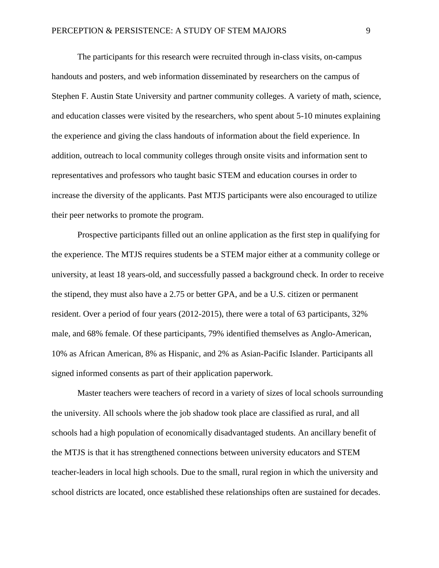The participants for this research were recruited through in-class visits, on-campus handouts and posters, and web information disseminated by researchers on the campus of Stephen F. Austin State University and partner community colleges. A variety of math, science, and education classes were visited by the researchers, who spent about 5-10 minutes explaining the experience and giving the class handouts of information about the field experience. In addition, outreach to local community colleges through onsite visits and information sent to representatives and professors who taught basic STEM and education courses in order to increase the diversity of the applicants. Past MTJS participants were also encouraged to utilize their peer networks to promote the program.

Prospective participants filled out an online application as the first step in qualifying for the experience. The MTJS requires students be a STEM major either at a community college or university, at least 18 years-old, and successfully passed a background check. In order to receive the stipend, they must also have a 2.75 or better GPA, and be a U.S. citizen or permanent resident. Over a period of four years (2012-2015), there were a total of 63 participants, 32% male, and 68% female. Of these participants, 79% identified themselves as Anglo-American, 10% as African American, 8% as Hispanic, and 2% as Asian-Pacific Islander. Participants all signed informed consents as part of their application paperwork.

Master teachers were teachers of record in a variety of sizes of local schools surrounding the university. All schools where the job shadow took place are classified as rural, and all schools had a high population of economically disadvantaged students. An ancillary benefit of the MTJS is that it has strengthened connections between university educators and STEM teacher-leaders in local high schools. Due to the small, rural region in which the university and school districts are located, once established these relationships often are sustained for decades.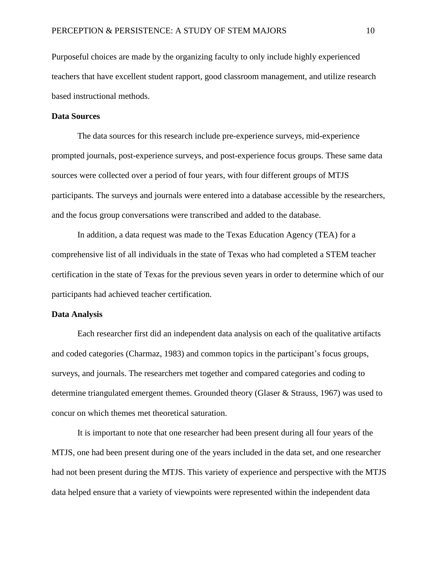Purposeful choices are made by the organizing faculty to only include highly experienced teachers that have excellent student rapport, good classroom management, and utilize research based instructional methods.

## **Data Sources**

The data sources for this research include pre-experience surveys, mid-experience prompted journals, post-experience surveys, and post-experience focus groups. These same data sources were collected over a period of four years, with four different groups of MTJS participants. The surveys and journals were entered into a database accessible by the researchers, and the focus group conversations were transcribed and added to the database.

In addition, a data request was made to the Texas Education Agency (TEA) for a comprehensive list of all individuals in the state of Texas who had completed a STEM teacher certification in the state of Texas for the previous seven years in order to determine which of our participants had achieved teacher certification.

## **Data Analysis**

Each researcher first did an independent data analysis on each of the qualitative artifacts and coded categories (Charmaz, 1983) and common topics in the participant's focus groups, surveys, and journals. The researchers met together and compared categories and coding to determine triangulated emergent themes. Grounded theory (Glaser & Strauss, 1967) was used to concur on which themes met theoretical saturation.

It is important to note that one researcher had been present during all four years of the MTJS, one had been present during one of the years included in the data set, and one researcher had not been present during the MTJS. This variety of experience and perspective with the MTJS data helped ensure that a variety of viewpoints were represented within the independent data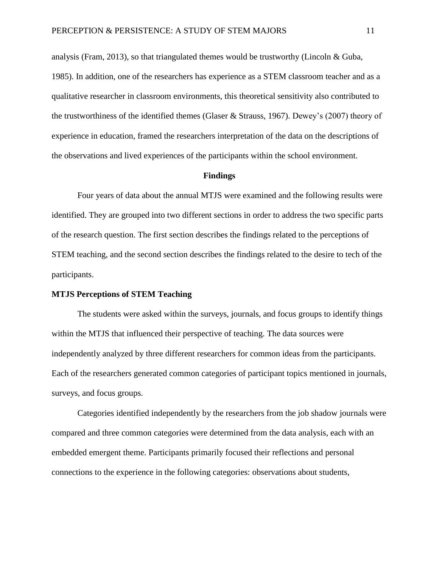analysis (Fram, 2013), so that triangulated themes would be trustworthy (Lincoln & Guba, 1985). In addition, one of the researchers has experience as a STEM classroom teacher and as a qualitative researcher in classroom environments, this theoretical sensitivity also contributed to the trustworthiness of the identified themes (Glaser & Strauss, 1967). Dewey's (2007) theory of experience in education, framed the researchers interpretation of the data on the descriptions of the observations and lived experiences of the participants within the school environment.

#### **Findings**

Four years of data about the annual MTJS were examined and the following results were identified. They are grouped into two different sections in order to address the two specific parts of the research question. The first section describes the findings related to the perceptions of STEM teaching, and the second section describes the findings related to the desire to tech of the participants.

#### **MTJS Perceptions of STEM Teaching**

The students were asked within the surveys, journals, and focus groups to identify things within the MTJS that influenced their perspective of teaching. The data sources were independently analyzed by three different researchers for common ideas from the participants. Each of the researchers generated common categories of participant topics mentioned in journals, surveys, and focus groups.

Categories identified independently by the researchers from the job shadow journals were compared and three common categories were determined from the data analysis, each with an embedded emergent theme. Participants primarily focused their reflections and personal connections to the experience in the following categories: observations about students,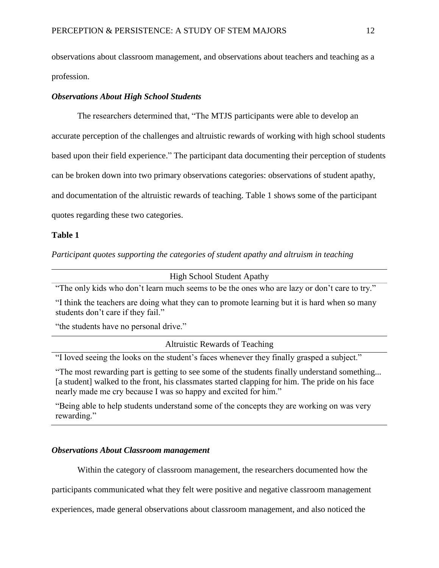observations about classroom management, and observations about teachers and teaching as a profession.

# *Observations About High School Students*

The researchers determined that, "The MTJS participants were able to develop an accurate perception of the challenges and altruistic rewards of working with high school students based upon their field experience." The participant data documenting their perception of students can be broken down into two primary observations categories: observations of student apathy, and documentation of the altruistic rewards of teaching. Table 1 shows some of the participant quotes regarding these two categories.

## **Table 1**

*Participant quotes supporting the categories of student apathy and altruism in teaching*

High School Student Apathy

"The only kids who don't learn much seems to be the ones who are lazy or don't care to try."

"I think the teachers are doing what they can to promote learning but it is hard when so many students don't care if they fail."

"the students have no personal drive."

Altruistic Rewards of Teaching

"I loved seeing the looks on the student's faces whenever they finally grasped a subject."

"The most rewarding part is getting to see some of the students finally understand something... [a student] walked to the front, his classmates started clapping for him. The pride on his face nearly made me cry because I was so happy and excited for him."

"Being able to help students understand some of the concepts they are working on was very rewarding."

## *Observations About Classroom management*

Within the category of classroom management, the researchers documented how the

participants communicated what they felt were positive and negative classroom management

experiences, made general observations about classroom management, and also noticed the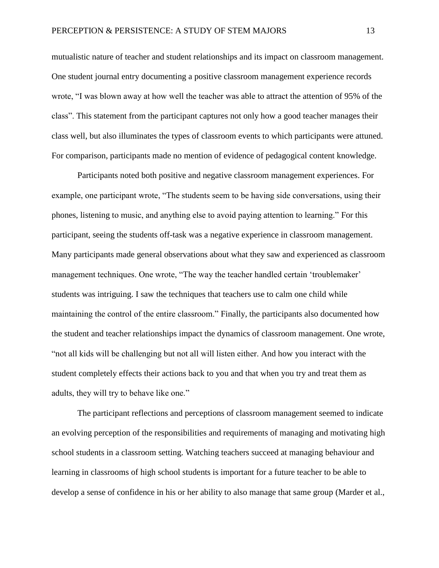mutualistic nature of teacher and student relationships and its impact on classroom management. One student journal entry documenting a positive classroom management experience records wrote, "I was blown away at how well the teacher was able to attract the attention of 95% of the class". This statement from the participant captures not only how a good teacher manages their class well, but also illuminates the types of classroom events to which participants were attuned. For comparison, participants made no mention of evidence of pedagogical content knowledge.

Participants noted both positive and negative classroom management experiences. For example, one participant wrote, "The students seem to be having side conversations, using their phones, listening to music, and anything else to avoid paying attention to learning." For this participant, seeing the students off-task was a negative experience in classroom management. Many participants made general observations about what they saw and experienced as classroom management techniques. One wrote, "The way the teacher handled certain 'troublemaker' students was intriguing. I saw the techniques that teachers use to calm one child while maintaining the control of the entire classroom." Finally, the participants also documented how the student and teacher relationships impact the dynamics of classroom management. One wrote, "not all kids will be challenging but not all will listen either. And how you interact with the student completely effects their actions back to you and that when you try and treat them as adults, they will try to behave like one."

The participant reflections and perceptions of classroom management seemed to indicate an evolving perception of the responsibilities and requirements of managing and motivating high school students in a classroom setting. Watching teachers succeed at managing behaviour and learning in classrooms of high school students is important for a future teacher to be able to develop a sense of confidence in his or her ability to also manage that same group (Marder et al.,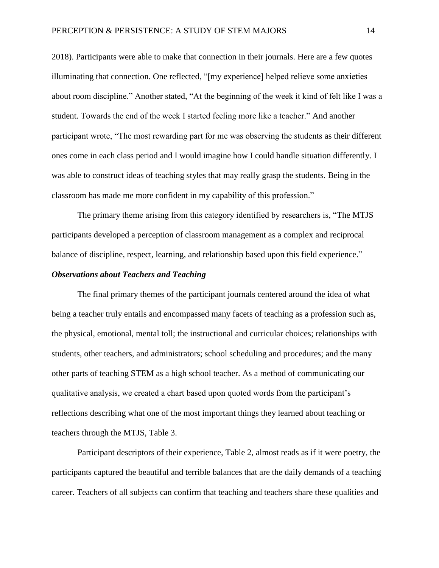2018). Participants were able to make that connection in their journals. Here are a few quotes illuminating that connection. One reflected, "[my experience] helped relieve some anxieties about room discipline." Another stated, "At the beginning of the week it kind of felt like I was a student. Towards the end of the week I started feeling more like a teacher." And another participant wrote, "The most rewarding part for me was observing the students as their different ones come in each class period and I would imagine how I could handle situation differently. I was able to construct ideas of teaching styles that may really grasp the students. Being in the classroom has made me more confident in my capability of this profession."

The primary theme arising from this category identified by researchers is, "The MTJS participants developed a perception of classroom management as a complex and reciprocal balance of discipline, respect, learning, and relationship based upon this field experience."

## *Observations about Teachers and Teaching*

The final primary themes of the participant journals centered around the idea of what being a teacher truly entails and encompassed many facets of teaching as a profession such as, the physical, emotional, mental toll; the instructional and curricular choices; relationships with students, other teachers, and administrators; school scheduling and procedures; and the many other parts of teaching STEM as a high school teacher. As a method of communicating our qualitative analysis, we created a chart based upon quoted words from the participant's reflections describing what one of the most important things they learned about teaching or teachers through the MTJS, Table 3.

Participant descriptors of their experience, Table 2, almost reads as if it were poetry, the participants captured the beautiful and terrible balances that are the daily demands of a teaching career. Teachers of all subjects can confirm that teaching and teachers share these qualities and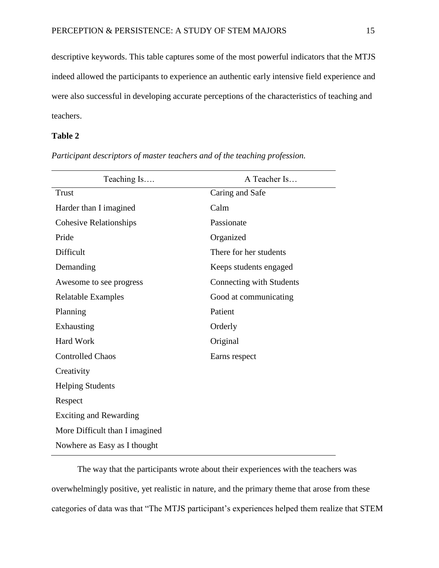descriptive keywords. This table captures some of the most powerful indicators that the MTJS indeed allowed the participants to experience an authentic early intensive field experience and were also successful in developing accurate perceptions of the characteristics of teaching and teachers.

# **Table 2**

| Teaching Is                    | A Teacher Is             |
|--------------------------------|--------------------------|
| <b>Trust</b>                   | Caring and Safe          |
| Harder than I imagined         | Calm                     |
| <b>Cohesive Relationships</b>  | Passionate               |
| Pride                          | Organized                |
| Difficult                      | There for her students   |
| Demanding                      | Keeps students engaged   |
| Awesome to see progress        | Connecting with Students |
| <b>Relatable Examples</b>      | Good at communicating    |
| Planning                       | Patient                  |
| Exhausting                     | Orderly                  |
| <b>Hard Work</b>               | Original                 |
| <b>Controlled Chaos</b>        | Earns respect            |
| Creativity                     |                          |
| <b>Helping Students</b>        |                          |
| Respect                        |                          |
| <b>Exciting and Rewarding</b>  |                          |
| More Difficult than I imagined |                          |
| Nowhere as Easy as I thought   |                          |

*Participant descriptors of master teachers and of the teaching profession.*

The way that the participants wrote about their experiences with the teachers was overwhelmingly positive, yet realistic in nature, and the primary theme that arose from these categories of data was that "The MTJS participant's experiences helped them realize that STEM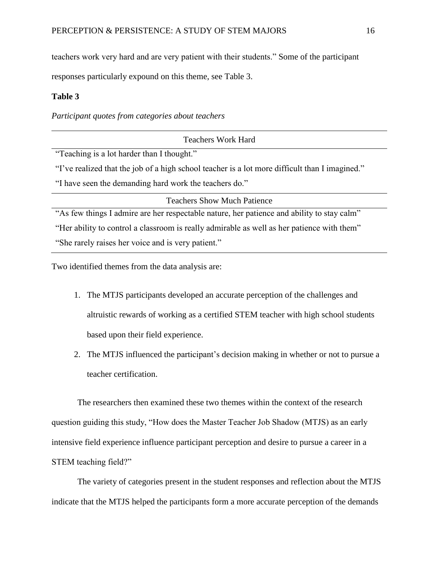teachers work very hard and are very patient with their students." Some of the participant

responses particularly expound on this theme, see Table 3.

# **Table 3**

*Participant quotes from categories about teachers*

| <b>Teachers Work Hard</b>                                                                      |  |  |
|------------------------------------------------------------------------------------------------|--|--|
| "Teaching is a lot harder than I thought."                                                     |  |  |
| "I've realized that the job of a high school teacher is a lot more difficult than I imagined." |  |  |
| "I have seen the demanding hard work the teachers do."                                         |  |  |
| <b>Teachers Show Much Patience</b>                                                             |  |  |
| "As few things I admire are her respectable nature, her patience and ability to stay calm"     |  |  |
| "Her ability to control a classroom is really admirable as well as her patience with them"     |  |  |
| "She rarely raises her voice and is very patient."                                             |  |  |

Two identified themes from the data analysis are:

- 1. The MTJS participants developed an accurate perception of the challenges and altruistic rewards of working as a certified STEM teacher with high school students based upon their field experience.
- 2. The MTJS influenced the participant's decision making in whether or not to pursue a teacher certification.

The researchers then examined these two themes within the context of the research question guiding this study, "How does the Master Teacher Job Shadow (MTJS) as an early intensive field experience influence participant perception and desire to pursue a career in a STEM teaching field?"

The variety of categories present in the student responses and reflection about the MTJS indicate that the MTJS helped the participants form a more accurate perception of the demands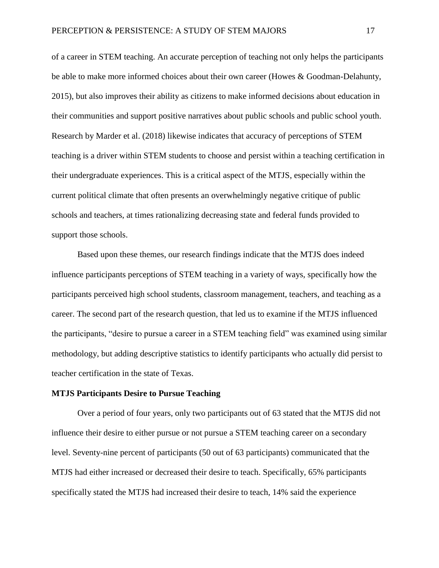of a career in STEM teaching. An accurate perception of teaching not only helps the participants be able to make more informed choices about their own career (Howes & Goodman-Delahunty, 2015), but also improves their ability as citizens to make informed decisions about education in their communities and support positive narratives about public schools and public school youth. Research by Marder et al. (2018) likewise indicates that accuracy of perceptions of STEM teaching is a driver within STEM students to choose and persist within a teaching certification in their undergraduate experiences. This is a critical aspect of the MTJS, especially within the current political climate that often presents an overwhelmingly negative critique of public schools and teachers, at times rationalizing decreasing state and federal funds provided to support those schools.

Based upon these themes, our research findings indicate that the MTJS does indeed influence participants perceptions of STEM teaching in a variety of ways, specifically how the participants perceived high school students, classroom management, teachers, and teaching as a career. The second part of the research question, that led us to examine if the MTJS influenced the participants, "desire to pursue a career in a STEM teaching field" was examined using similar methodology, but adding descriptive statistics to identify participants who actually did persist to teacher certification in the state of Texas.

## **MTJS Participants Desire to Pursue Teaching**

Over a period of four years, only two participants out of 63 stated that the MTJS did not influence their desire to either pursue or not pursue a STEM teaching career on a secondary level. Seventy-nine percent of participants (50 out of 63 participants) communicated that the MTJS had either increased or decreased their desire to teach. Specifically, 65% participants specifically stated the MTJS had increased their desire to teach, 14% said the experience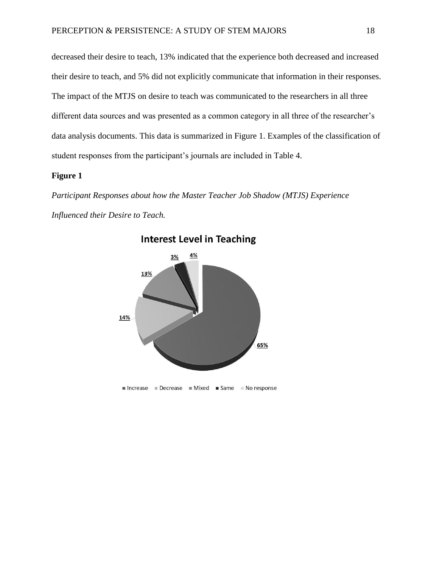decreased their desire to teach, 13% indicated that the experience both decreased and increased their desire to teach, and 5% did not explicitly communicate that information in their responses. The impact of the MTJS on desire to teach was communicated to the researchers in all three different data sources and was presented as a common category in all three of the researcher's data analysis documents. This data is summarized in Figure 1. Examples of the classification of student responses from the participant's journals are included in Table 4.

# **Figure 1**

*Participant Responses about how the Master Teacher Job Shadow (MTJS) Experience Influenced their Desire to Teach.*



**Interest Level in Teaching**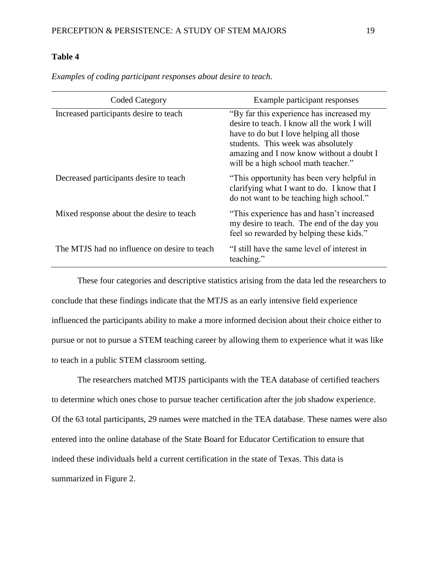# **Table 4**

| <b>Coded Category</b>                        | Example participant responses                                                                                                                                                                                                                                |  |
|----------------------------------------------|--------------------------------------------------------------------------------------------------------------------------------------------------------------------------------------------------------------------------------------------------------------|--|
| Increased participants desire to teach       | "By far this experience has increased my<br>desire to teach. I know all the work I will<br>have to do but I love helping all those<br>students. This week was absolutely<br>amazing and I now know without a doubt I<br>will be a high school math teacher." |  |
| Decreased participants desire to teach       | "This opportunity has been very helpful in<br>clarifying what I want to do. I know that I<br>do not want to be teaching high school."                                                                                                                        |  |
| Mixed response about the desire to teach     | "This experience has and hasn't increased<br>my desire to teach. The end of the day you<br>feel so rewarded by helping these kids."                                                                                                                          |  |
| The MTJS had no influence on desire to teach | "I still have the same level of interest in<br>teaching."                                                                                                                                                                                                    |  |

*Examples of coding participant responses about desire to teach.*

These four categories and descriptive statistics arising from the data led the researchers to conclude that these findings indicate that the MTJS as an early intensive field experience influenced the participants ability to make a more informed decision about their choice either to pursue or not to pursue a STEM teaching career by allowing them to experience what it was like to teach in a public STEM classroom setting.

The researchers matched MTJS participants with the TEA database of certified teachers to determine which ones chose to pursue teacher certification after the job shadow experience. Of the 63 total participants, 29 names were matched in the TEA database. These names were also entered into the online database of the State Board for Educator Certification to ensure that indeed these individuals held a current certification in the state of Texas. This data is summarized in Figure 2.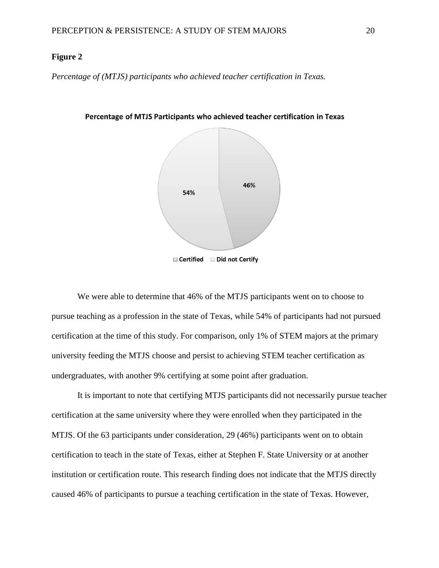# **Figure 2**

*Percentage of (MTJS) participants who achieved teacher certification in Texas.*



Percentage of MTJS Participants who achieved teacher certification in Texas

We were able to determine that 46% of the MTJS participants went on to choose to pursue teaching as a profession in the state of Texas, while 54% of participants had not pursued certification at the time of this study. For comparison, only 1% of STEM majors at the primary university feeding the MTJS choose and persist to achieving STEM teacher certification as undergraduates, with another 9% certifying at some point after graduation.

It is important to note that certifying MTJS participants did not necessarily pursue teacher certification at the same university where they were enrolled when they participated in the MTJS. Of the 63 participants under consideration, 29 (46%) participants went on to obtain certification to teach in the state of Texas, either at Stephen F. State University or at another institution or certification route. This research finding does not indicate that the MTJS directly caused 46% of participants to pursue a teaching certification in the state of Texas. However,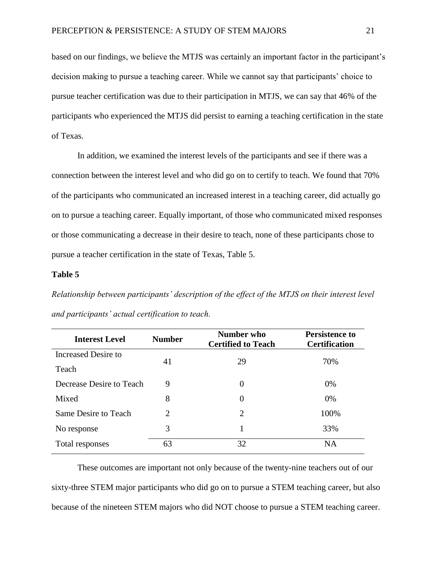based on our findings, we believe the MTJS was certainly an important factor in the participant's decision making to pursue a teaching career. While we cannot say that participants' choice to pursue teacher certification was due to their participation in MTJS, we can say that 46% of the participants who experienced the MTJS did persist to earning a teaching certification in the state of Texas.

In addition, we examined the interest levels of the participants and see if there was a connection between the interest level and who did go on to certify to teach. We found that 70% of the participants who communicated an increased interest in a teaching career, did actually go on to pursue a teaching career. Equally important, of those who communicated mixed responses or those communicating a decrease in their desire to teach, none of these participants chose to pursue a teacher certification in the state of Texas, Table 5.

## **Table 5**

*Relationship between participants' description of the effect of the MTJS on their interest level and participants' actual certification to teach.*

| <b>Interest Level</b>    | <b>Number</b>               | Number who<br><b>Certified to Teach</b> | <b>Persistence to</b><br><b>Certification</b> |
|--------------------------|-----------------------------|-----------------------------------------|-----------------------------------------------|
| Increased Desire to      | 41                          | 29                                      | 70%                                           |
| Teach                    |                             |                                         |                                               |
| Decrease Desire to Teach | 9                           | 0                                       | 0%                                            |
| Mixed                    | 8                           | 0                                       | $0\%$                                         |
| Same Desire to Teach     | $\mathcal{D}_{\mathcal{L}}$ | 2                                       | 100%                                          |
| No response              | 3                           |                                         | 33%                                           |
| Total responses          | 63                          | 32                                      | <b>NA</b>                                     |

These outcomes are important not only because of the twenty-nine teachers out of our sixty-three STEM major participants who did go on to pursue a STEM teaching career, but also because of the nineteen STEM majors who did NOT choose to pursue a STEM teaching career.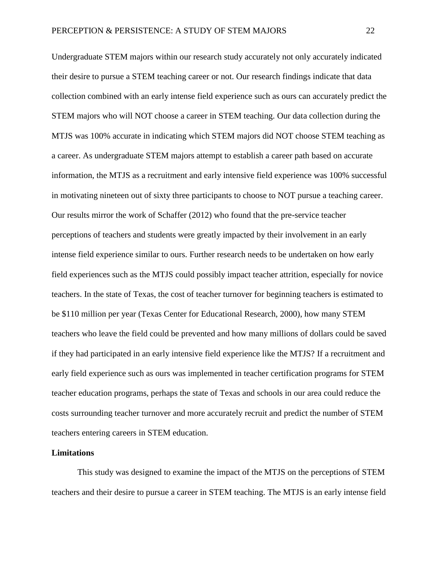Undergraduate STEM majors within our research study accurately not only accurately indicated their desire to pursue a STEM teaching career or not. Our research findings indicate that data collection combined with an early intense field experience such as ours can accurately predict the STEM majors who will NOT choose a career in STEM teaching. Our data collection during the MTJS was 100% accurate in indicating which STEM majors did NOT choose STEM teaching as a career. As undergraduate STEM majors attempt to establish a career path based on accurate information, the MTJS as a recruitment and early intensive field experience was 100% successful in motivating nineteen out of sixty three participants to choose to NOT pursue a teaching career. Our results mirror the work of Schaffer (2012) who found that the pre-service teacher perceptions of teachers and students were greatly impacted by their involvement in an early intense field experience similar to ours. Further research needs to be undertaken on how early field experiences such as the MTJS could possibly impact teacher attrition, especially for novice teachers. In the state of Texas, the cost of teacher turnover for beginning teachers is estimated to be \$110 million per year (Texas Center for Educational Research, 2000), how many STEM teachers who leave the field could be prevented and how many millions of dollars could be saved if they had participated in an early intensive field experience like the MTJS? If a recruitment and early field experience such as ours was implemented in teacher certification programs for STEM teacher education programs, perhaps the state of Texas and schools in our area could reduce the costs surrounding teacher turnover and more accurately recruit and predict the number of STEM teachers entering careers in STEM education.

#### **Limitations**

This study was designed to examine the impact of the MTJS on the perceptions of STEM teachers and their desire to pursue a career in STEM teaching. The MTJS is an early intense field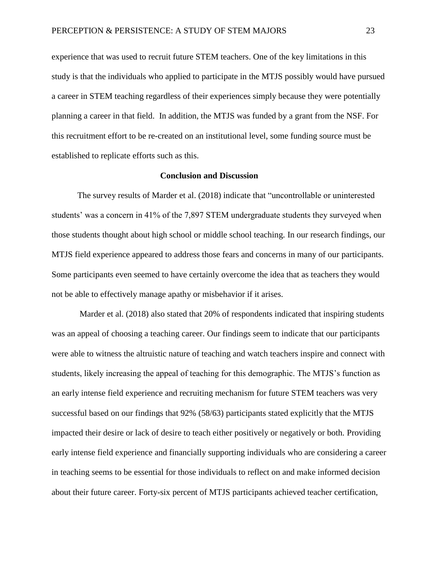experience that was used to recruit future STEM teachers. One of the key limitations in this study is that the individuals who applied to participate in the MTJS possibly would have pursued a career in STEM teaching regardless of their experiences simply because they were potentially planning a career in that field. In addition, the MTJS was funded by a grant from the NSF. For this recruitment effort to be re-created on an institutional level, some funding source must be established to replicate efforts such as this.

#### **Conclusion and Discussion**

The survey results of Marder et al. (2018) indicate that "uncontrollable or uninterested students' was a concern in 41% of the 7,897 STEM undergraduate students they surveyed when those students thought about high school or middle school teaching. In our research findings, our MTJS field experience appeared to address those fears and concerns in many of our participants. Some participants even seemed to have certainly overcome the idea that as teachers they would not be able to effectively manage apathy or misbehavior if it arises.

Marder et al. (2018) also stated that 20% of respondents indicated that inspiring students was an appeal of choosing a teaching career. Our findings seem to indicate that our participants were able to witness the altruistic nature of teaching and watch teachers inspire and connect with students, likely increasing the appeal of teaching for this demographic. The MTJS's function as an early intense field experience and recruiting mechanism for future STEM teachers was very successful based on our findings that 92% (58/63) participants stated explicitly that the MTJS impacted their desire or lack of desire to teach either positively or negatively or both. Providing early intense field experience and financially supporting individuals who are considering a career in teaching seems to be essential for those individuals to reflect on and make informed decision about their future career. Forty-six percent of MTJS participants achieved teacher certification,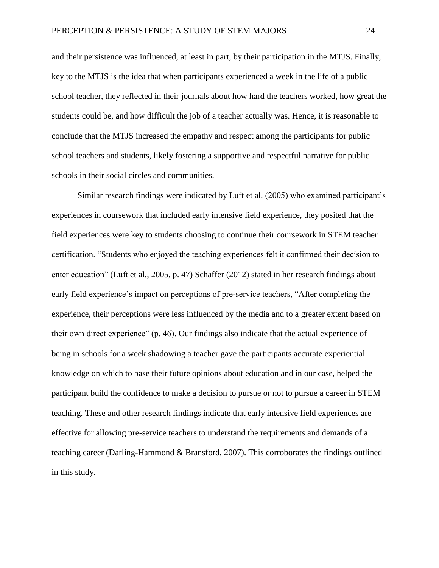and their persistence was influenced, at least in part, by their participation in the MTJS. Finally, key to the MTJS is the idea that when participants experienced a week in the life of a public school teacher, they reflected in their journals about how hard the teachers worked, how great the students could be, and how difficult the job of a teacher actually was. Hence, it is reasonable to conclude that the MTJS increased the empathy and respect among the participants for public school teachers and students, likely fostering a supportive and respectful narrative for public schools in their social circles and communities.

Similar research findings were indicated by Luft et al. (2005) who examined participant's experiences in coursework that included early intensive field experience, they posited that the field experiences were key to students choosing to continue their coursework in STEM teacher certification. "Students who enjoyed the teaching experiences felt it confirmed their decision to enter education" (Luft et al., 2005, p. 47) Schaffer (2012) stated in her research findings about early field experience's impact on perceptions of pre-service teachers, "After completing the experience, their perceptions were less influenced by the media and to a greater extent based on their own direct experience" (p. 46). Our findings also indicate that the actual experience of being in schools for a week shadowing a teacher gave the participants accurate experiential knowledge on which to base their future opinions about education and in our case, helped the participant build the confidence to make a decision to pursue or not to pursue a career in STEM teaching. These and other research findings indicate that early intensive field experiences are effective for allowing pre-service teachers to understand the requirements and demands of a teaching career (Darling-Hammond & Bransford, 2007). This corroborates the findings outlined in this study.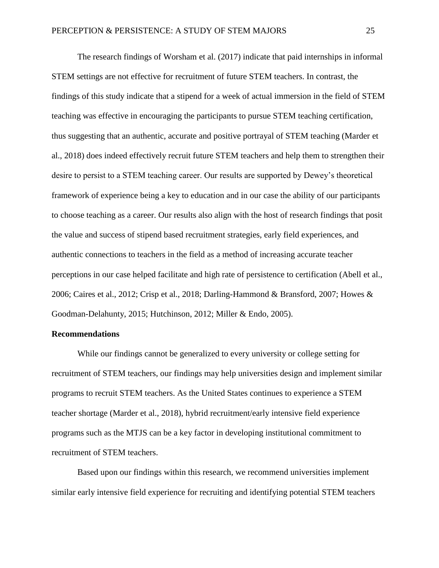The research findings of Worsham et al. (2017) indicate that paid internships in informal STEM settings are not effective for recruitment of future STEM teachers. In contrast, the findings of this study indicate that a stipend for a week of actual immersion in the field of STEM teaching was effective in encouraging the participants to pursue STEM teaching certification, thus suggesting that an authentic, accurate and positive portrayal of STEM teaching (Marder et al., 2018) does indeed effectively recruit future STEM teachers and help them to strengthen their desire to persist to a STEM teaching career. Our results are supported by Dewey's theoretical framework of experience being a key to education and in our case the ability of our participants to choose teaching as a career. Our results also align with the host of research findings that posit the value and success of stipend based recruitment strategies, early field experiences, and authentic connections to teachers in the field as a method of increasing accurate teacher perceptions in our case helped facilitate and high rate of persistence to certification (Abell et al., 2006; Caires et al., 2012; Crisp et al., 2018; Darling-Hammond & Bransford, 2007; Howes & Goodman-Delahunty, 2015; Hutchinson, 2012; Miller & Endo, 2005).

## **Recommendations**

While our findings cannot be generalized to every university or college setting for recruitment of STEM teachers, our findings may help universities design and implement similar programs to recruit STEM teachers. As the United States continues to experience a STEM teacher shortage (Marder et al., 2018), hybrid recruitment/early intensive field experience programs such as the MTJS can be a key factor in developing institutional commitment to recruitment of STEM teachers.

Based upon our findings within this research, we recommend universities implement similar early intensive field experience for recruiting and identifying potential STEM teachers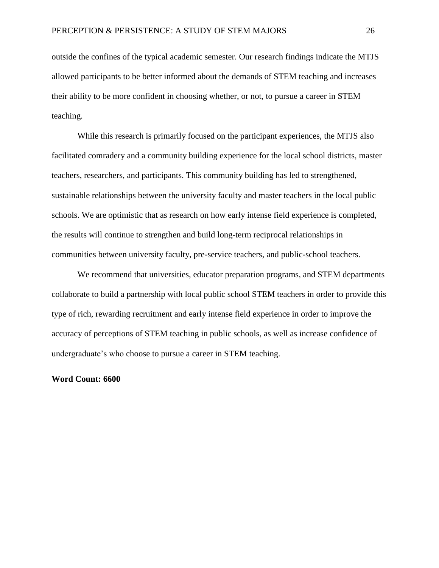outside the confines of the typical academic semester. Our research findings indicate the MTJS allowed participants to be better informed about the demands of STEM teaching and increases their ability to be more confident in choosing whether, or not, to pursue a career in STEM teaching.

While this research is primarily focused on the participant experiences, the MTJS also facilitated comradery and a community building experience for the local school districts, master teachers, researchers, and participants. This community building has led to strengthened, sustainable relationships between the university faculty and master teachers in the local public schools. We are optimistic that as research on how early intense field experience is completed, the results will continue to strengthen and build long-term reciprocal relationships in communities between university faculty, pre-service teachers, and public-school teachers.

We recommend that universities, educator preparation programs, and STEM departments collaborate to build a partnership with local public school STEM teachers in order to provide this type of rich, rewarding recruitment and early intense field experience in order to improve the accuracy of perceptions of STEM teaching in public schools, as well as increase confidence of undergraduate's who choose to pursue a career in STEM teaching.

## **Word Count: 6600**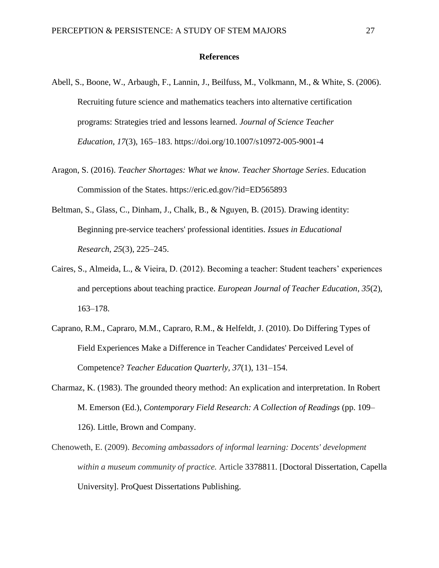#### **References**

- Abell, S., Boone, W., Arbaugh, F., Lannin, J., Beilfuss, M., Volkmann, M., & White, S. (2006). Recruiting future science and mathematics teachers into alternative certification programs: Strategies tried and lessons learned. *Journal of Science Teacher Education*, *17*(3), 165–183. https://doi.org/10.1007/s10972-005-9001-4
- Aragon, S. (2016). *Teacher Shortages: What we know. Teacher Shortage Series*. Education Commission of the States. https://eric.ed.gov/?id=ED565893
- Beltman, S., Glass, C., Dinham, J., Chalk, B., & Nguyen, B. (2015). Drawing identity: Beginning pre-service teachers' professional identities. *Issues in Educational Research*, *25*(3), 225–245.
- Caires, S., Almeida, L., & Vieira, D. (2012). Becoming a teacher: Student teachers' experiences and perceptions about teaching practice. *European Journal of Teacher Education*, *35*(2), 163–178.
- Caprano, R.M., Capraro, M.M., Capraro, R.M., & Helfeldt, J. (2010). Do Differing Types of Field Experiences Make a Difference in Teacher Candidates' Perceived Level of Competence? *Teacher Education Quarterly, 37*(1), 131–154.
- Charmaz, K. (1983). The grounded theory method: An explication and interpretation. In Robert M. Emerson (Ed.), *Contemporary Field Research: A Collection of Readings* (pp. 109– 126). Little, Brown and Company.
- Chenoweth, E. (2009). *Becoming ambassadors of informal learning: Docents' development within a museum community of practice.* Article 3378811. [Doctoral Dissertation, Capella University]. ProQuest Dissertations Publishing.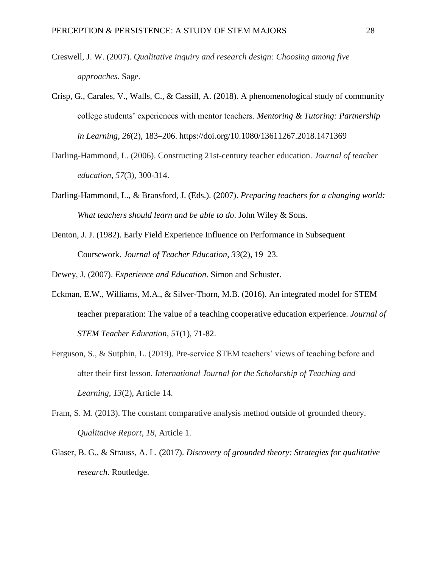- Creswell, J. W. (2007). *Qualitative inquiry and research design: Choosing among five approaches*. Sage.
- Crisp, G., Carales, V., Walls, C., & Cassill, A. (2018). A phenomenological study of community college students' experiences with mentor teachers. *Mentoring & Tutoring: Partnership in Learning, 26*(2), 183–206. https://doi.org/10.1080/13611267.2018.1471369
- Darling-Hammond, L. (2006). Constructing 21st-century teacher education. *Journal of teacher education*, *57*(3), 300-314.
- Darling-Hammond, L., & Bransford, J. (Eds.). (2007). *Preparing teachers for a changing world: What teachers should learn and be able to do*. John Wiley & Sons.
- Denton, J. J. (1982). Early Field Experience Influence on Performance in Subsequent Coursework. *Journal of Teacher Education*, *33*(2), 19–23.

Dewey, J. (2007). *Experience and Education*. Simon and Schuster.

- Eckman, E.W., Williams, M.A., & Silver-Thorn, M.B. (2016). An integrated model for STEM teacher preparation: The value of a teaching cooperative education experience. *Journal of STEM Teacher Education, 51*(1), 71-82.
- Ferguson, S., & Sutphin, L. (2019). Pre-service STEM teachers' views of teaching before and after their first lesson. *International Journal for the Scholarship of Teaching and Learning*, *13*(2), Article 14.
- Fram, S. M. (2013). The constant comparative analysis method outside of grounded theory. *Qualitative Report*, *18*, Article 1.
- Glaser, B. G., & Strauss, A. L. (2017). *Discovery of grounded theory: Strategies for qualitative research*. Routledge.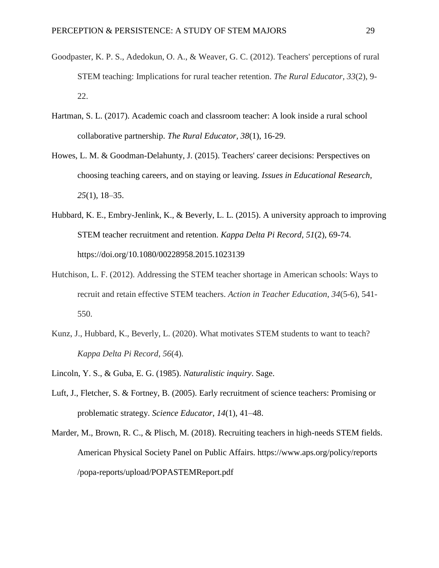- Goodpaster, K. P. S., Adedokun, O. A., & Weaver, G. C. (2012). Teachers' perceptions of rural STEM teaching: Implications for rural teacher retention. *The Rural Educator, 33*(2), 9- 22.
- Hartman, S. L. (2017). Academic coach and classroom teacher: A look inside a rural school collaborative partnership. *The Rural Educator, 38*(1), 16-29.
- Howes, L. M. & Goodman-Delahunty, J. (2015). Teachers' career decisions: Perspectives on choosing teaching careers, and on staying or leaving. *Issues in Educational Research, 25*(1), 18–35.
- Hubbard, K. E., Embry-Jenlink, K., & Beverly, L. L. (2015). A university approach to improving STEM teacher recruitment and retention. *Kappa Delta Pi Record, 51*(2), 69-74. https://doi.org/10.1080/00228958.2015.1023139
- Hutchison, L. F. (2012). Addressing the STEM teacher shortage in American schools: Ways to recruit and retain effective STEM teachers. *Action in Teacher Education*, *34*(5-6), 541- 550.
- Kunz, J., Hubbard, K., Beverly, L. (2020). What motivates STEM students to want to teach? *Kappa Delta Pi Record, 56*(4).
- Lincoln, Y. S., & Guba, E. G. (1985). *Naturalistic inquiry*. Sage.
- Luft, J., Fletcher, S. & Fortney, B. (2005). Early recruitment of science teachers: Promising or problematic strategy. *Science Educator*, *14*(1), 41–48.
- Marder, M., Brown, R. C., & Plisch, M. (2018). Recruiting teachers in high-needs STEM fields. American Physical Society Panel on Public Affairs. https://www.aps.org/policy/reports /popa-reports/upload/POPASTEMReport.pdf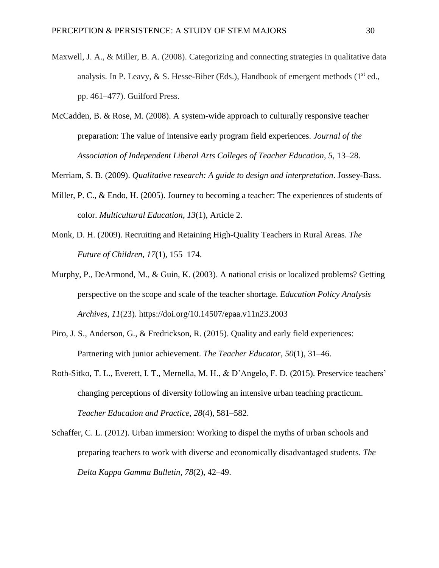- Maxwell, J. A., & Miller, B. A. (2008). Categorizing and connecting strategies in qualitative data analysis. In P. Leavy,  $\& S$ . Hesse-Biber (Eds.), Handbook of emergent methods (1<sup>st</sup> ed., pp. 461–477). Guilford Press.
- McCadden, B. & Rose, M. (2008). A system-wide approach to culturally responsive teacher preparation: The value of intensive early program field experiences. *Journal of the Association of Independent Liberal Arts Colleges of Teacher Education, 5*, 13–28.

Merriam, S. B. (2009). *Qualitative research: A guide to design and interpretation*. Jossey-Bass.

- Miller, P. C., & Endo, H. (2005). Journey to becoming a teacher: The experiences of students of color. *Multicultural Education*, *13*(1), Article 2.
- Monk, D. H. (2009). Recruiting and Retaining High-Quality Teachers in Rural Areas. *The Future of Children, 17*(1), 155–174.
- Murphy, P., DeArmond, M., & Guin, K. (2003). A national crisis or localized problems? Getting perspective on the scope and scale of the teacher shortage. *Education Policy Analysis Archives, 11*(23). https://doi.org/10.14507/epaa.v11n23.2003
- Piro, J. S., Anderson, G., & Fredrickson, R. (2015). Quality and early field experiences: Partnering with junior achievement. *The Teacher Educator*, *50*(1), 31–46.
- Roth-Sitko, T. L., Everett, I. T., Mernella, M. H., & D'Angelo, F. D. (2015). Preservice teachers' changing perceptions of diversity following an intensive urban teaching practicum. *Teacher Education and Practice, 28*(4), 581–582.
- Schaffer, C. L. (2012). Urban immersion: Working to dispel the myths of urban schools and preparing teachers to work with diverse and economically disadvantaged students. *The Delta Kappa Gamma Bulletin, 78*(2), 42–49.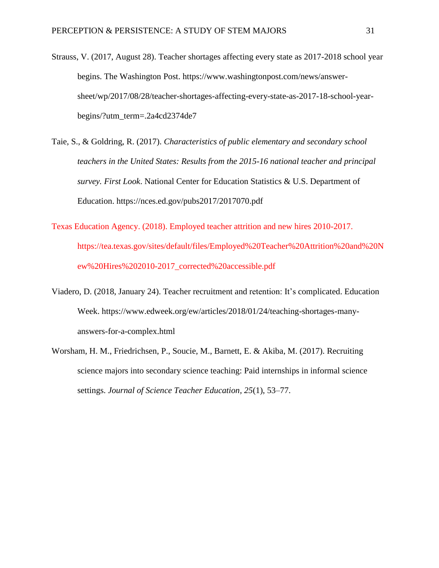- Strauss, V. (2017, August 28). Teacher shortages affecting every state as 2017-2018 school year begins. The Washington Post. https://www.washingtonpost.com/news/answersheet/wp/2017/08/28/teacher-shortages-affecting-every-state-as-2017-18-school-yearbegins/?utm\_term=.2a4cd2374de7
- Taie, S., & Goldring, R. (2017). *Characteristics of public elementary and secondary school teachers in the United States: Results from the 2015-16 national teacher and principal survey. First Look*. National Center for Education Statistics & U.S. Department of Education. https://nces.ed.gov/pubs2017/2017070.pdf
- Texas Education Agency. (2018). Employed teacher attrition and new hires 2010-2017. https://tea.texas.gov/sites/default/files/Employed%20Teacher%20Attrition%20and%20N ew%20Hires%202010-2017\_corrected%20accessible.pdf
- Viadero, D. (2018, January 24). Teacher recruitment and retention: It's complicated. Education Week. [https://www.edweek.org/ew/articles/2018/01/24/teaching-shortages-many](https://www.edweek.org/ew/articles/2018/01/24/teaching-shortages-many-answers-for-a-complex.html)[answers-for-a-complex.html](https://www.edweek.org/ew/articles/2018/01/24/teaching-shortages-many-answers-for-a-complex.html)
- Worsham, H. M., Friedrichsen, P., Soucie, M., Barnett, E. & Akiba, M. (2017). Recruiting science majors into secondary science teaching: Paid internships in informal science settings. *Journal of Science Teacher Education, 25*(1), 53–77.